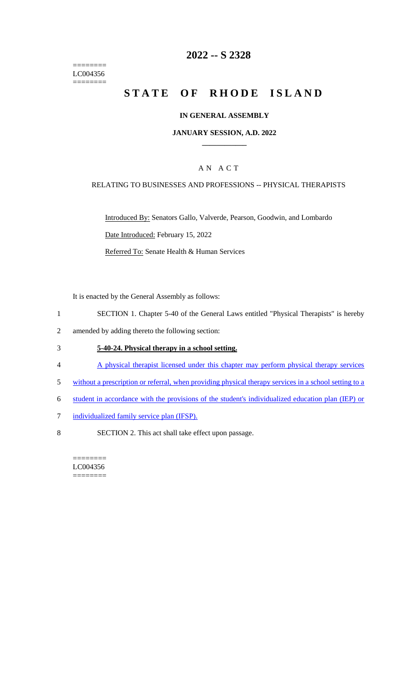======== LC004356  $=$ 

# **2022 -- S 2328**

# **STATE OF RHODE ISLAND**

### **IN GENERAL ASSEMBLY**

#### **JANUARY SESSION, A.D. 2022 \_\_\_\_\_\_\_\_\_\_\_\_**

### A N A C T

#### RELATING TO BUSINESSES AND PROFESSIONS -- PHYSICAL THERAPISTS

Introduced By: Senators Gallo, Valverde, Pearson, Goodwin, and Lombardo Date Introduced: February 15, 2022 Referred To: Senate Health & Human Services

It is enacted by the General Assembly as follows:

- 1 SECTION 1. Chapter 5-40 of the General Laws entitled "Physical Therapists" is hereby
- 2 amended by adding thereto the following section:

#### 3 **5-40-24. Physical therapy in a school setting.**

- 4 A physical therapist licensed under this chapter may perform physical therapy services
- 5 without a prescription or referral, when providing physical therapy services in a school setting to a
- 6 student in accordance with the provisions of the student's individualized education plan (IEP) or
- 7 individualized family service plan (IFSP).
- 8 SECTION 2. This act shall take effect upon passage.

======== LC004356 ========